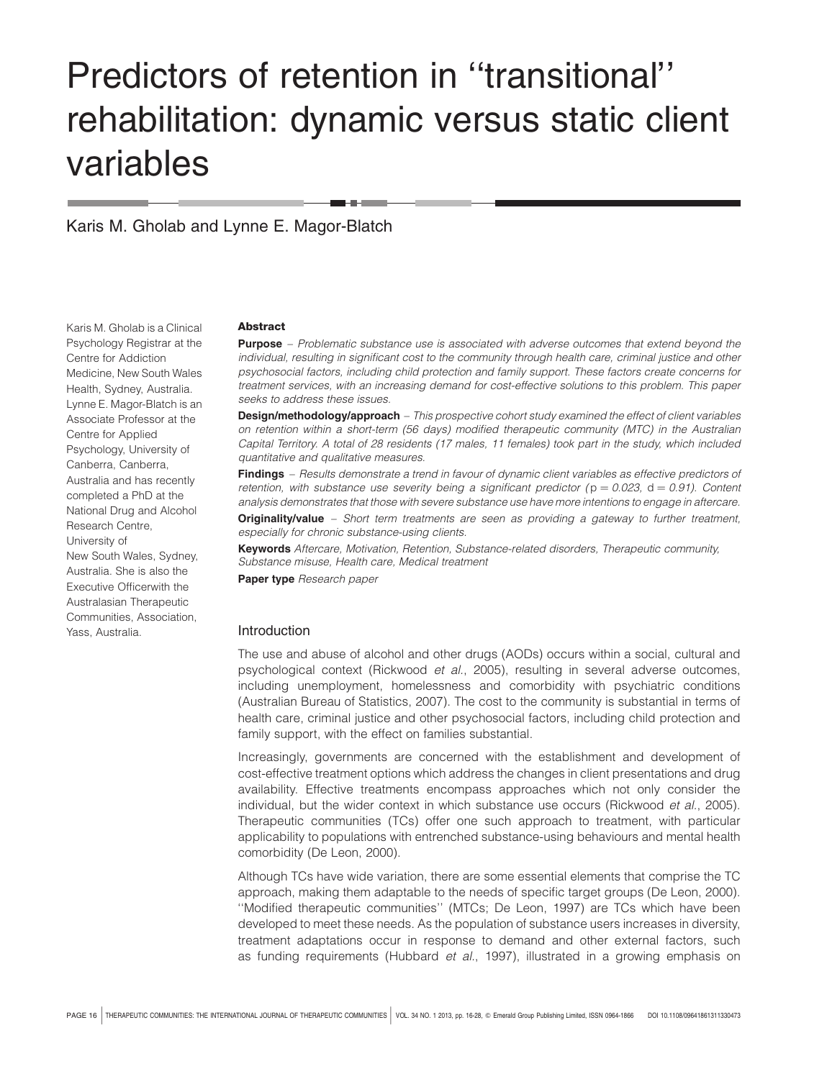# Predictors of retention in ''transitional'' rehabilitation: dynamic versus static client variables

Karis M. Gholab and Lynne E. Magor-Blatch

Karis M. Gholab is a Clinical Psychology Registrar at the Centre for Addiction Medicine, New South Wales Health, Sydney, Australia. Lynne E. Magor-Blatch is an Associate Professor at the Centre for Applied Psychology, University of Canberra, Canberra, Australia and has recently completed a PhD at the National Drug and Alcohol Research Centre, University of New South Wales, Sydney, Australia. She is also the Executive Officerwith the Australasian Therapeutic Communities, Association, Yass, Australia.

#### **Abstract**

**Purpose** – Problematic substance use is associated with adverse outcomes that extend beyond the individual, resulting in significant cost to the community through health care, criminal justice and other psychosocial factors, including child protection and family support. These factors create concerns for treatment services, with an increasing demand for cost-effective solutions to this problem. This paper seeks to address these issues.

**Design/methodology/approach** – This prospective cohort study examined the effect of client variables on retention within a short-term (56 days) modified therapeutic community (MTC) in the Australian Capital Territory. A total of 28 residents (17 males, 11 females) took part in the study, which included quantitative and qualitative measures.

Findings - Results demonstrate a trend in favour of dynamic client variables as effective predictors of retention, with substance use severity being a significant predictor ( $p = 0.023$ , d = 0.91). Content analysis demonstrates that those with severe substance use have more intentions to engage in aftercare.

Originality/value - Short term treatments are seen as providing a gateway to further treatment, especially for chronic substance-using clients.

**Keywords** Aftercare, Motivation, Retention, Substance-related disorders, Therapeutic community, Substance misuse, Health care, Medical treatment

Paper type Research paper

## Introduction

The use and abuse of alcohol and other drugs (AODs) occurs within a social, cultural and psychological context (Rickwood et al., 2005), resulting in several adverse outcomes, including unemployment, homelessness and comorbidity with psychiatric conditions (Australian Bureau of Statistics, 2007). The cost to the community is substantial in terms of health care, criminal justice and other psychosocial factors, including child protection and family support, with the effect on families substantial.

Increasingly, governments are concerned with the establishment and development of cost-effective treatment options which address the changes in client presentations and drug availability. Effective treatments encompass approaches which not only consider the individual, but the wider context in which substance use occurs (Rickwood et al., 2005). Therapeutic communities (TCs) offer one such approach to treatment, with particular applicability to populations with entrenched substance-using behaviours and mental health comorbidity (De Leon, 2000).

Although TCs have wide variation, there are some essential elements that comprise the TC approach, making them adaptable to the needs of specific target groups (De Leon, 2000). ''Modified therapeutic communities'' (MTCs; De Leon, 1997) are TCs which have been developed to meet these needs. As the population of substance users increases in diversity, treatment adaptations occur in response to demand and other external factors, such as funding requirements (Hubbard et al., 1997), illustrated in a growing emphasis on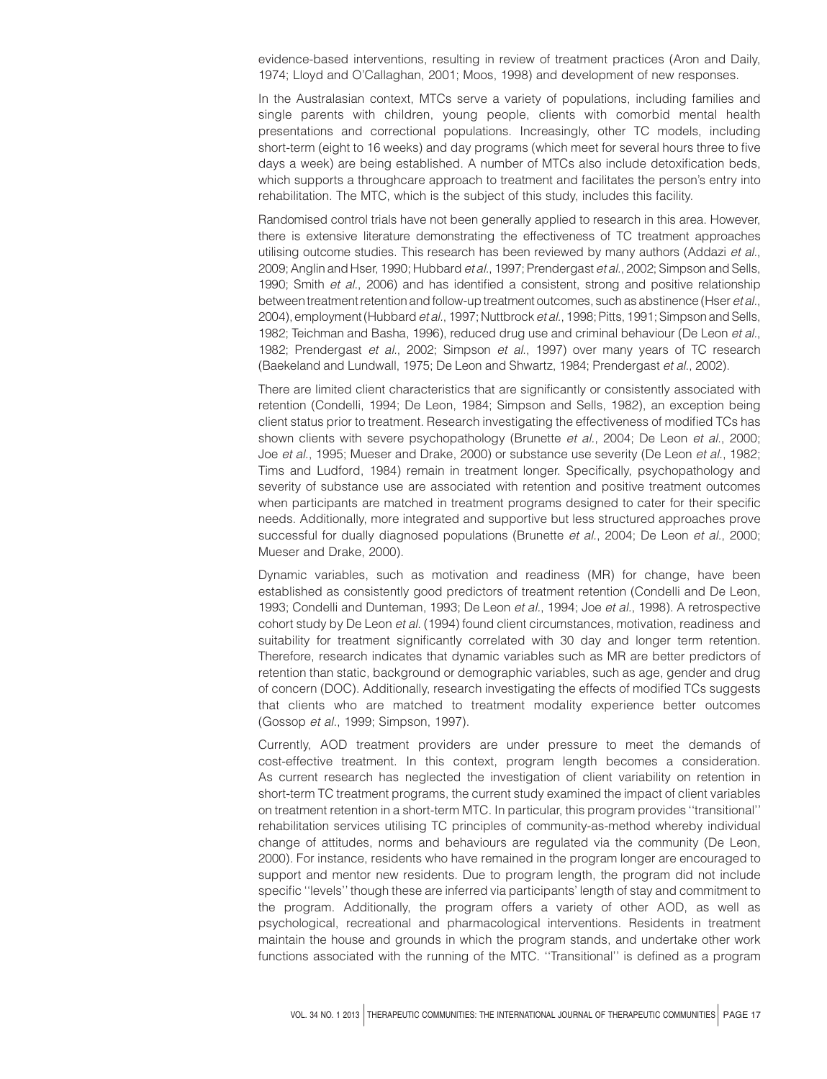evidence-based interventions, resulting in review of treatment practices (Aron and Daily, 1974; Lloyd and O'Callaghan, 2001; Moos, 1998) and development of new responses.

In the Australasian context, MTCs serve a variety of populations, including families and single parents with children, young people, clients with comorbid mental health presentations and correctional populations. Increasingly, other TC models, including short-term (eight to 16 weeks) and day programs (which meet for several hours three to five days a week) are being established. A number of MTCs also include detoxification beds, which supports a throughcare approach to treatment and facilitates the person's entry into rehabilitation. The MTC, which is the subject of this study, includes this facility.

Randomised control trials have not been generally applied to research in this area. However, there is extensive literature demonstrating the effectiveness of TC treatment approaches utilising outcome studies. This research has been reviewed by many authors (Addazi et al., 2009; Anglin and Hser, 1990; Hubbard et al., 1997; Prendergast et al., 2002; Simpson and Sells, 1990; Smith et al., 2006) and has identified a consistent, strong and positive relationship between treatment retention and follow-up treatment outcomes, such as abstinence (Hser et al., 2004), employment (Hubbard et al., 1997; Nuttbrock et al., 1998; Pitts, 1991; Simpson and Sells, 1982; Teichman and Basha, 1996), reduced drug use and criminal behaviour (De Leon et al., 1982; Prendergast et al., 2002; Simpson et al., 1997) over many years of TC research (Baekeland and Lundwall, 1975; De Leon and Shwartz, 1984; Prendergast et al., 2002).

There are limited client characteristics that are significantly or consistently associated with retention (Condelli, 1994; De Leon, 1984; Simpson and Sells, 1982), an exception being client status prior to treatment. Research investigating the effectiveness of modified TCs has shown clients with severe psychopathology (Brunette et al., 2004; De Leon et al., 2000; Joe et al., 1995; Mueser and Drake, 2000) or substance use severity (De Leon et al., 1982; Tims and Ludford, 1984) remain in treatment longer. Specifically, psychopathology and severity of substance use are associated with retention and positive treatment outcomes when participants are matched in treatment programs designed to cater for their specific needs. Additionally, more integrated and supportive but less structured approaches prove successful for dually diagnosed populations (Brunette et al., 2004; De Leon et al., 2000; Mueser and Drake, 2000).

Dynamic variables, such as motivation and readiness (MR) for change, have been established as consistently good predictors of treatment retention (Condelli and De Leon, 1993; Condelli and Dunteman, 1993; De Leon et al., 1994; Joe et al., 1998). A retrospective cohort study by De Leon et al. (1994) found client circumstances, motivation, readiness and suitability for treatment significantly correlated with 30 day and longer term retention. Therefore, research indicates that dynamic variables such as MR are better predictors of retention than static, background or demographic variables, such as age, gender and drug of concern (DOC). Additionally, research investigating the effects of modified TCs suggests that clients who are matched to treatment modality experience better outcomes (Gossop et al., 1999; Simpson, 1997).

Currently, AOD treatment providers are under pressure to meet the demands of cost-effective treatment. In this context, program length becomes a consideration. As current research has neglected the investigation of client variability on retention in short-term TC treatment programs, the current study examined the impact of client variables on treatment retention in a short-term MTC. In particular, this program provides ''transitional'' rehabilitation services utilising TC principles of community-as-method whereby individual change of attitudes, norms and behaviours are regulated via the community (De Leon, 2000). For instance, residents who have remained in the program longer are encouraged to support and mentor new residents. Due to program length, the program did not include specific ''levels'' though these are inferred via participants' length of stay and commitment to the program. Additionally, the program offers a variety of other AOD, as well as psychological, recreational and pharmacological interventions. Residents in treatment maintain the house and grounds in which the program stands, and undertake other work functions associated with the running of the MTC. ''Transitional'' is defined as a program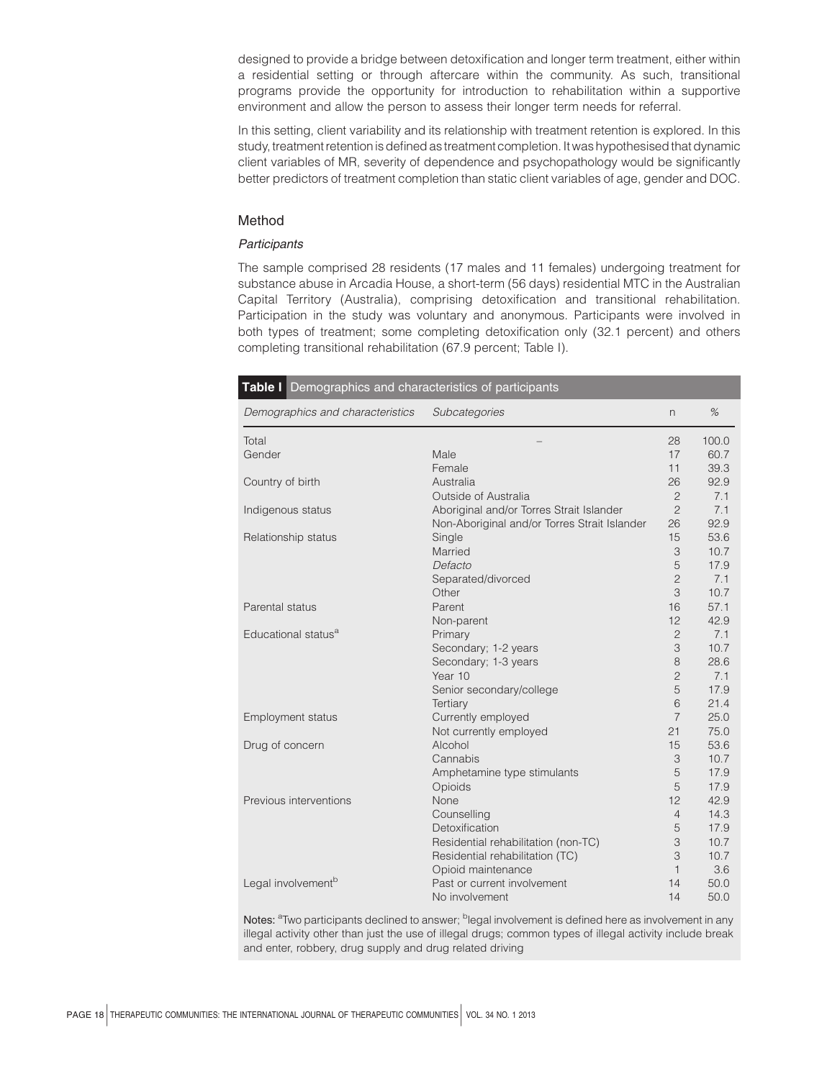designed to provide a bridge between detoxification and longer term treatment, either within a residential setting or through aftercare within the community. As such, transitional programs provide the opportunity for introduction to rehabilitation within a supportive environment and allow the person to assess their longer term needs for referral.

In this setting, client variability and its relationship with treatment retention is explored. In this study, treatment retention is defined as treatment completion. It was hypothesised that dynamic client variables of MR, severity of dependence and psychopathology would be significantly better predictors of treatment completion than static client variables of age, gender and DOC.

# Method

## **Participants**

The sample comprised 28 residents (17 males and 11 females) undergoing treatment for substance abuse in Arcadia House, a short-term (56 days) residential MTC in the Australian Capital Territory (Australia), comprising detoxification and transitional rehabilitation. Participation in the study was voluntary and anonymous. Participants were involved in both types of treatment; some completing detoxification only (32.1 percent) and others completing transitional rehabilitation (67.9 percent; Table I).

| <b>Table I</b> Demographics and characteristics of participants |                                              |                |       |  |  |  |
|-----------------------------------------------------------------|----------------------------------------------|----------------|-------|--|--|--|
| Demographics and characteristics                                | Subcategories                                | n.             | %     |  |  |  |
| Total                                                           |                                              | 28             | 100.0 |  |  |  |
| Gender                                                          | Male                                         | 17             | 60.7  |  |  |  |
|                                                                 | Female                                       | 11             | 39.3  |  |  |  |
| Country of birth                                                | Australia                                    | 26             | 92.9  |  |  |  |
|                                                                 | Outside of Australia                         | $\overline{c}$ | 7.1   |  |  |  |
| Indigenous status                                               | Aboriginal and/or Torres Strait Islander     | $\overline{c}$ | 7.1   |  |  |  |
|                                                                 | Non-Aboriginal and/or Torres Strait Islander | 26             | 92.9  |  |  |  |
| Relationship status                                             | Single                                       | 15             | 53.6  |  |  |  |
|                                                                 | Married                                      | 3              | 10.7  |  |  |  |
|                                                                 | Defacto                                      | 5              | 17.9  |  |  |  |
|                                                                 | Separated/divorced                           | $\overline{c}$ | 7.1   |  |  |  |
|                                                                 | Other                                        | 3              | 10.7  |  |  |  |
| Parental status                                                 | Parent                                       | 16             | 57.1  |  |  |  |
|                                                                 | Non-parent                                   | 12             | 42.9  |  |  |  |
| Educational status <sup>a</sup>                                 | Primary                                      | $\overline{c}$ | 7.1   |  |  |  |
|                                                                 | Secondary; 1-2 years                         | 3              | 10.7  |  |  |  |
|                                                                 | Secondary; 1-3 years                         | 8              | 28.6  |  |  |  |
|                                                                 | Year 10                                      | $\overline{c}$ | 7.1   |  |  |  |
|                                                                 | Senior secondary/college                     | 5              | 17.9  |  |  |  |
|                                                                 | Tertiary                                     | 6              | 21.4  |  |  |  |
| <b>Employment status</b>                                        | Currently employed                           | $\overline{7}$ | 25.0  |  |  |  |
|                                                                 | Not currently employed                       | 21             | 75.0  |  |  |  |
| Drug of concern                                                 | Alcohol                                      | 15             | 53.6  |  |  |  |
|                                                                 | Cannabis                                     | 3              | 10.7  |  |  |  |
|                                                                 | Amphetamine type stimulants                  | 5              | 17.9  |  |  |  |
|                                                                 | Opioids                                      | 5              | 17.9  |  |  |  |
| Previous interventions                                          | None                                         | 12             | 42.9  |  |  |  |
|                                                                 | Counselling                                  | $\overline{4}$ | 14.3  |  |  |  |
|                                                                 | Detoxification                               | 5              | 17.9  |  |  |  |
|                                                                 | Residential rehabilitation (non-TC)          | 3              | 10.7  |  |  |  |
|                                                                 | Residential rehabilitation (TC)              | 3              | 10.7  |  |  |  |
|                                                                 | Opioid maintenance                           | $\mathbf{1}$   | 3.6   |  |  |  |
| Legal involvement <sup>b</sup>                                  | Past or current involvement                  | 14             | 50.0  |  |  |  |
|                                                                 | No involvement                               | 14             | 50.0  |  |  |  |

Notes: <sup>a</sup>Two participants declined to answer; <sup>b</sup>legal involvement is defined here as involvement in any illegal activity other than just the use of illegal drugs; common types of illegal activity include break and enter, robbery, drug supply and drug related driving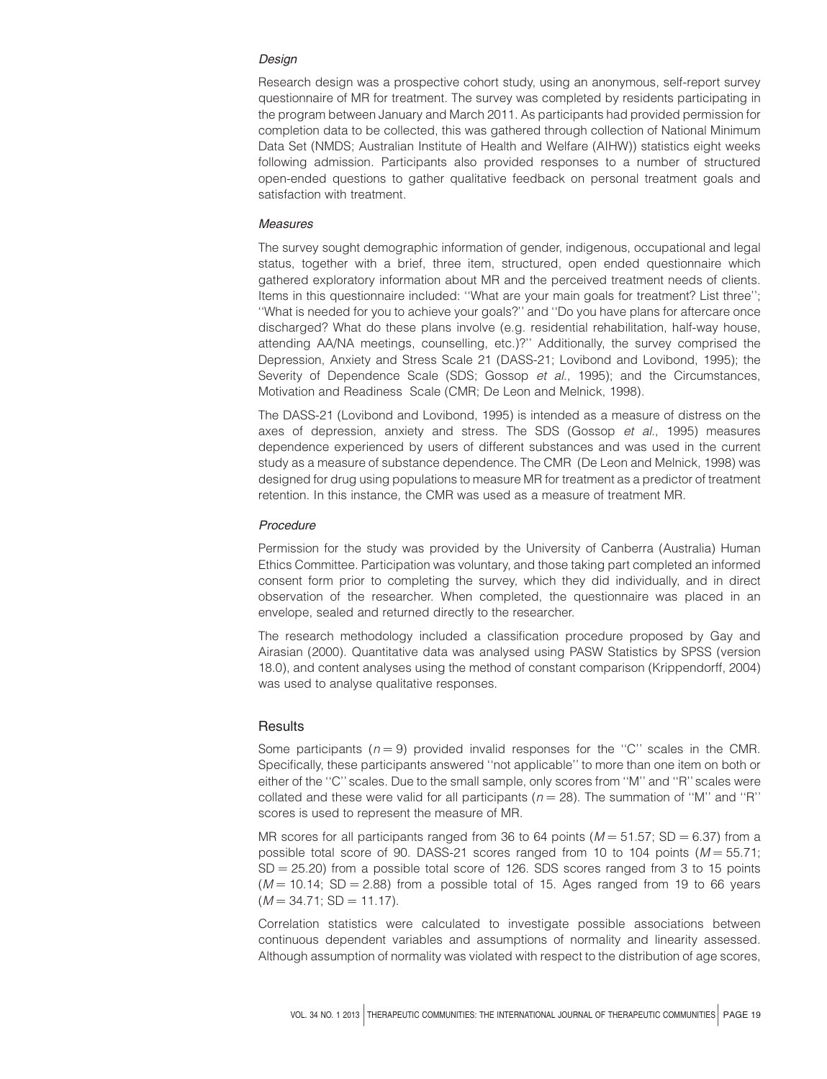## Design

Research design was a prospective cohort study, using an anonymous, self-report survey questionnaire of MR for treatment. The survey was completed by residents participating in the program between January and March 2011. As participants had provided permission for completion data to be collected, this was gathered through collection of National Minimum Data Set (NMDS; Australian Institute of Health and Welfare (AIHW)) statistics eight weeks following admission. Participants also provided responses to a number of structured open-ended questions to gather qualitative feedback on personal treatment goals and satisfaction with treatment.

## **Measures**

The survey sought demographic information of gender, indigenous, occupational and legal status, together with a brief, three item, structured, open ended questionnaire which gathered exploratory information about MR and the perceived treatment needs of clients. Items in this questionnaire included: ''What are your main goals for treatment? List three''; ''What is needed for you to achieve your goals?'' and ''Do you have plans for aftercare once discharged? What do these plans involve (e.g. residential rehabilitation, half-way house, attending AA/NA meetings, counselling, etc.)?'' Additionally, the survey comprised the Depression, Anxiety and Stress Scale 21 (DASS-21; Lovibond and Lovibond, 1995); the Severity of Dependence Scale (SDS; Gossop et al., 1995); and the Circumstances, Motivation and Readiness Scale (CMR; De Leon and Melnick, 1998).

The DASS-21 (Lovibond and Lovibond, 1995) is intended as a measure of distress on the axes of depression, anxiety and stress. The SDS (Gossop et al., 1995) measures dependence experienced by users of different substances and was used in the current study as a measure of substance dependence. The CMR (De Leon and Melnick, 1998) was designed for drug using populations to measure MR for treatment as a predictor of treatment retention. In this instance, the CMR was used as a measure of treatment MR.

#### Procedure

Permission for the study was provided by the University of Canberra (Australia) Human Ethics Committee. Participation was voluntary, and those taking part completed an informed consent form prior to completing the survey, which they did individually, and in direct observation of the researcher. When completed, the questionnaire was placed in an envelope, sealed and returned directly to the researcher.

The research methodology included a classification procedure proposed by Gay and Airasian (2000). Quantitative data was analysed using PASW Statistics by SPSS (version 18.0), and content analyses using the method of constant comparison (Krippendorff, 2004) was used to analyse qualitative responses.

## **Results**

Some participants ( $n = 9$ ) provided invalid responses for the "C" scales in the CMR. Specifically, these participants answered ''not applicable'' to more than one item on both or either of the ''C'' scales. Due to the small sample, only scores from ''M'' and ''R'' scales were collated and these were valid for all participants ( $n = 28$ ). The summation of "M" and "R" scores is used to represent the measure of MR.

MR scores for all participants ranged from 36 to 64 points ( $M = 51.57$ ; SD = 6.37) from a possible total score of 90. DASS-21 scores ranged from 10 to 104 points  $(M = 55.71;$  $SD = 25.20$ ) from a possible total score of 126. SDS scores ranged from 3 to 15 points  $(M = 10.14; SD = 2.88)$  from a possible total of 15. Ages ranged from 19 to 66 years  $(M = 34.71; SD = 11.17).$ 

Correlation statistics were calculated to investigate possible associations between continuous dependent variables and assumptions of normality and linearity assessed. Although assumption of normality was violated with respect to the distribution of age scores,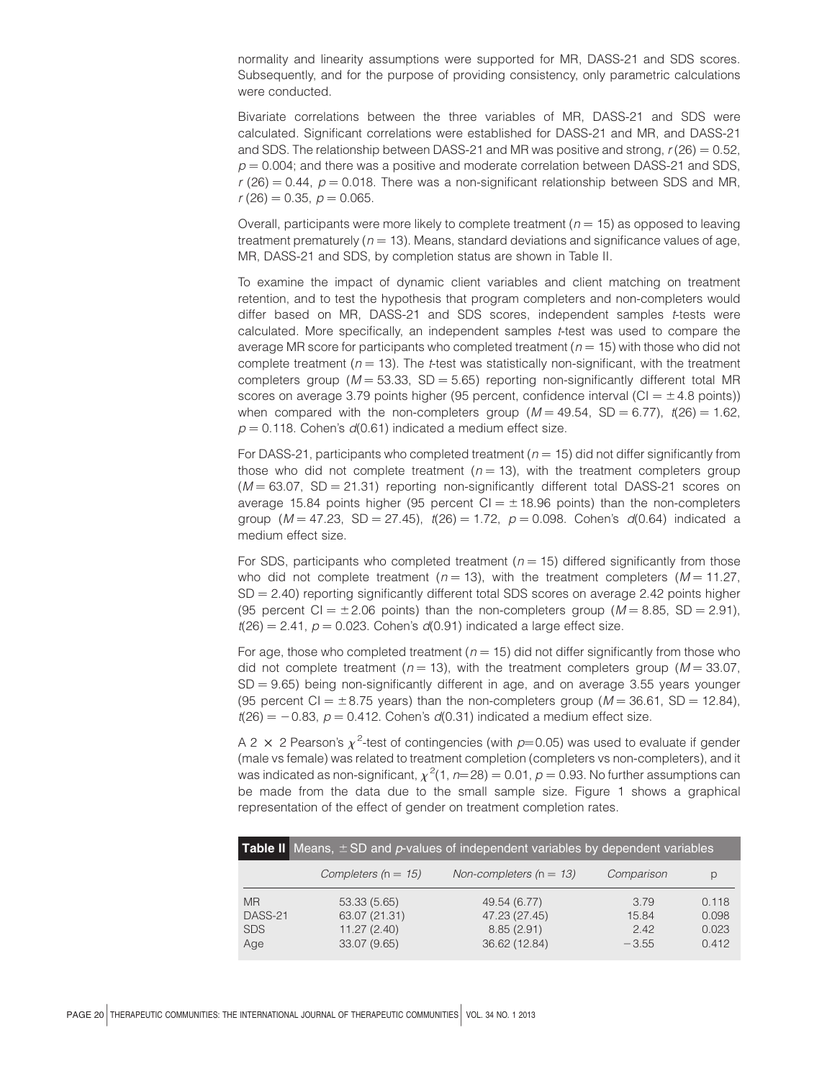normality and linearity assumptions were supported for MR, DASS-21 and SDS scores. Subsequently, and for the purpose of providing consistency, only parametric calculations were conducted.

Bivariate correlations between the three variables of MR, DASS-21 and SDS were calculated. Significant correlations were established for DASS-21 and MR, and DASS-21 and SDS. The relationship between DASS-21 and MR was positive and strong,  $r(26) = 0.52$ ,  $p = 0.004$ ; and there was a positive and moderate correlation between DASS-21 and SDS,  $r$  (26) = 0.44,  $p$  = 0.018. There was a non-significant relationship between SDS and MR,  $r(26) = 0.35$ ,  $p = 0.065$ .

Overall, participants were more likely to complete treatment ( $n = 15$ ) as opposed to leaving treatment prematurely ( $n = 13$ ). Means, standard deviations and significance values of age, MR, DASS-21 and SDS, by completion status are shown in Table II.

To examine the impact of dynamic client variables and client matching on treatment retention, and to test the hypothesis that program completers and non-completers would differ based on MR, DASS-21 and SDS scores, independent samples t-tests were calculated. More specifically, an independent samples t-test was used to compare the average MR score for participants who completed treatment ( $n = 15$ ) with those who did not complete treatment ( $n = 13$ ). The t-test was statistically non-significant, with the treatment completers group ( $M = 53.33$ , SD = 5.65) reporting non-significantly different total MR scores on average 3.79 points higher (95 percent, confidence interval (CI  $= \pm 4.8$  points)) when compared with the non-completers group ( $M = 49.54$ , SD = 6.77),  $t(26) = 1.62$ ,  $p = 0.118$ . Cohen's  $d(0.61)$  indicated a medium effect size.

For DASS-21, participants who completed treatment ( $n = 15$ ) did not differ significantly from those who did not complete treatment  $(n = 13)$ , with the treatment completers group  $(M = 63.07, SD = 21.31)$  reporting non-significantly different total DASS-21 scores on average 15.84 points higher (95 percent  $Cl = \pm 18.96$  points) than the non-completers group ( $M = 47.23$ , SD = 27.45),  $t(26) = 1.72$ ,  $p = 0.098$ . Cohen's  $d(0.64)$  indicated a medium effect size.

For SDS, participants who completed treatment ( $n = 15$ ) differed significantly from those who did not complete treatment ( $n = 13$ ), with the treatment completers ( $M = 11.27$ ,  $SD = 2.40$ ) reporting significantly different total SDS scores on average 2.42 points higher (95 percent CI =  $\pm$  2.06 points) than the non-completers group ( $M = 8.85$ , SD = 2.91),  $t(26) = 2.41$ ,  $p = 0.023$ . Cohen's  $d(0.91)$  indicated a large effect size.

For age, those who completed treatment ( $n = 15$ ) did not differ significantly from those who did not complete treatment ( $n = 13$ ), with the treatment completers group ( $M = 33.07$ ,  $SD = 9.65$ ) being non-significantly different in age, and on average 3.55 years younger (95 percent CI  $= \pm 8.75$  years) than the non-completers group ( $M = 36.61$ , SD = 12.84),  $t(26) = -0.83$ ,  $p = 0.412$ . Cohen's  $d(0.31)$  indicated a medium effect size.

A 2  $\times$  2 Pearson's  $\chi^2$ -test of contingencies (with  $p=0.05$ ) was used to evaluate if gender (male vs female) was related to treatment completion (completers vs non-completers), and it was indicated as non-significant,  $\chi^2$ (1, *n*=28) = 0.01, *p* = 0.93. No further assumptions can be made from the data due to the small sample size. Figure 1 shows a graphical representation of the effect of gender on treatment completion rates.

|                                           | <b>Table II</b> Means, $\pm$ SD and p-values of independent variables by dependent variables |                                                              |                                 |                                  |  |  |  |
|-------------------------------------------|----------------------------------------------------------------------------------------------|--------------------------------------------------------------|---------------------------------|----------------------------------|--|--|--|
|                                           | Completers ( $n = 15$ )                                                                      | Non-completers $(n = 13)$                                    | Comparison                      | р                                |  |  |  |
| <b>MR</b><br>DASS-21<br><b>SDS</b><br>Age | 53.33 (5.65)<br>63.07 (21.31)<br>11.27(2.40)<br>33.07 (9.65)                                 | 49.54 (6.77)<br>47.23 (27.45)<br>8.85(2.91)<br>36.62 (12.84) | 3.79<br>15.84<br>242<br>$-3.55$ | 0.118<br>0.098<br>0.023<br>0.412 |  |  |  |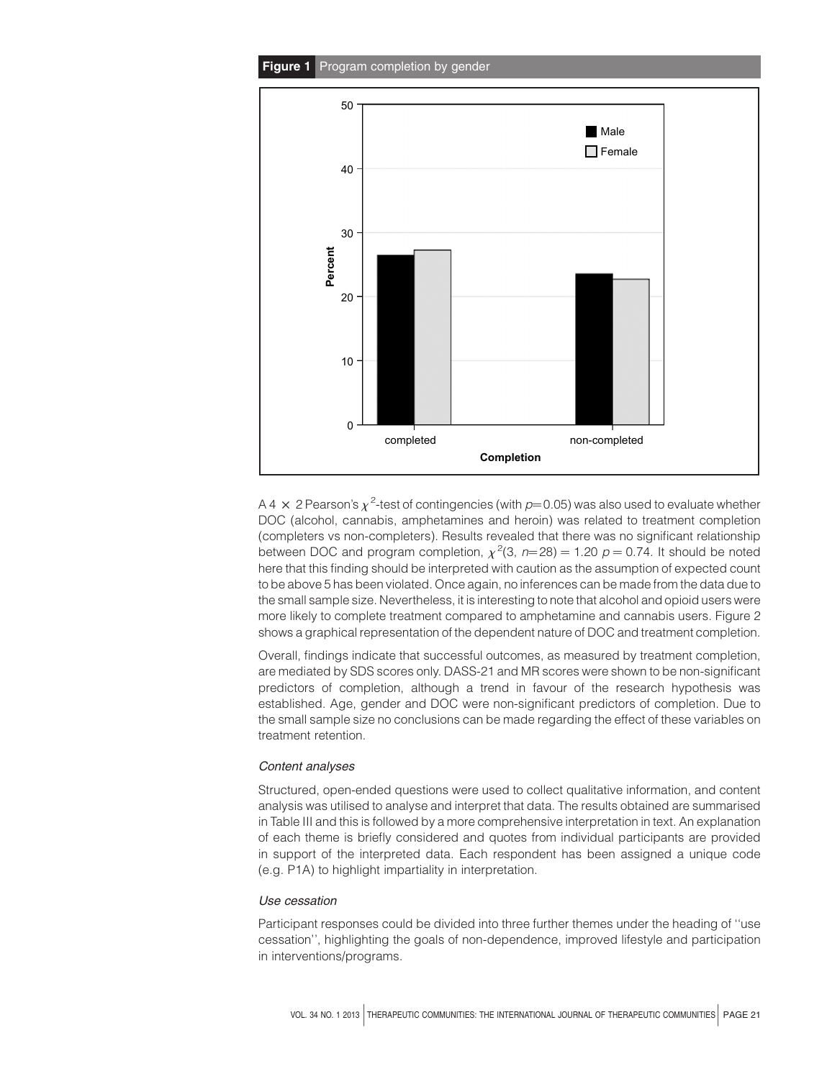

A 4  $\times$  2 Pearson's  $\chi^2$ -test of contingencies (with  $p$ =0.05) was also used to evaluate whether DOC (alcohol, cannabis, amphetamines and heroin) was related to treatment completion (completers vs non-completers). Results revealed that there was no significant relationship between DOC and program completion,  $\chi^2(3, n=28) = 1.20$   $p = 0.74$ . It should be noted here that this finding should be interpreted with caution as the assumption of expected count to be above 5 has been violated. Once again, no inferences can be made from the data due to the small sample size. Nevertheless, it is interesting to note that alcohol and opioid users were more likely to complete treatment compared to amphetamine and cannabis users. Figure 2 shows a graphical representation of the dependent nature of DOC and treatment completion.

Overall, findings indicate that successful outcomes, as measured by treatment completion, are mediated by SDS scores only. DASS-21 and MR scores were shown to be non-significant predictors of completion, although a trend in favour of the research hypothesis was established. Age, gender and DOC were non-significant predictors of completion. Due to the small sample size no conclusions can be made regarding the effect of these variables on treatment retention.

# Content analyses

Structured, open-ended questions were used to collect qualitative information, and content analysis was utilised to analyse and interpret that data. The results obtained are summarised in Table III and this is followed by a more comprehensive interpretation in text. An explanation of each theme is briefly considered and quotes from individual participants are provided in support of the interpreted data. Each respondent has been assigned a unique code (e.g. P1A) to highlight impartiality in interpretation.

# Use cessation

Participant responses could be divided into three further themes under the heading of ''use cessation'', highlighting the goals of non-dependence, improved lifestyle and participation in interventions/programs.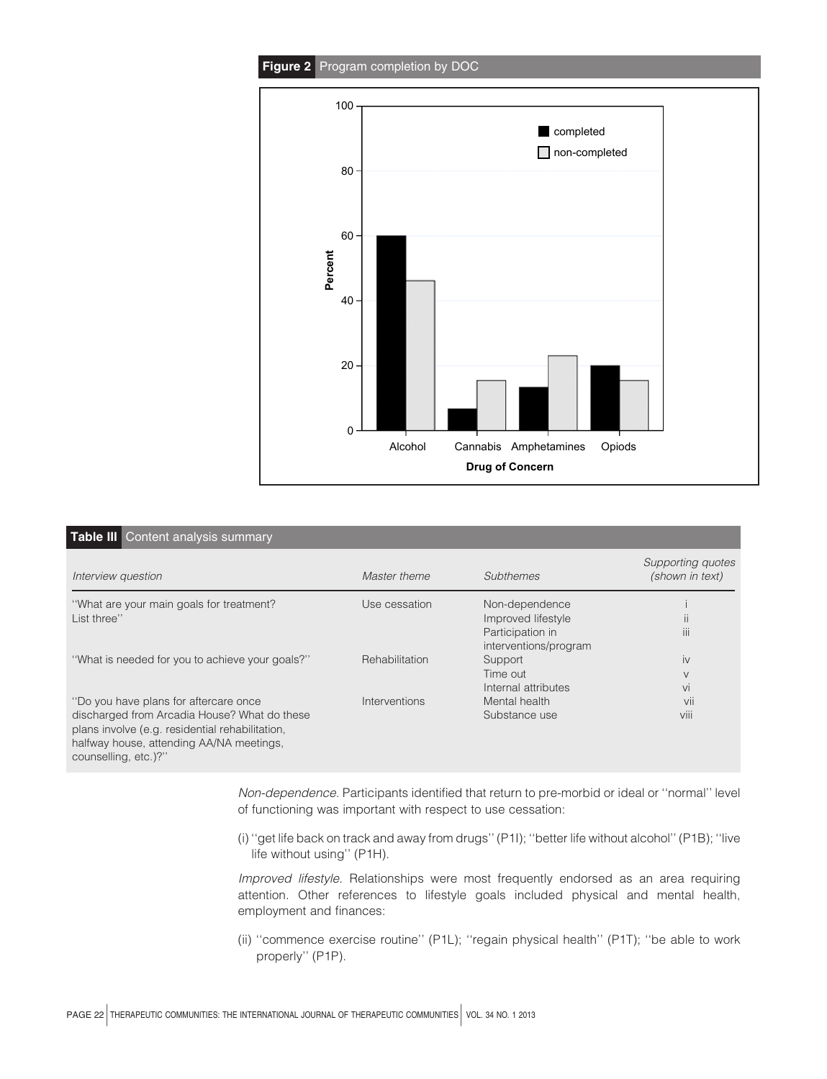

| <b>Table III</b> Content analysis summary                                                                                                                           |                |                       |                                      |  |  |  |  |
|---------------------------------------------------------------------------------------------------------------------------------------------------------------------|----------------|-----------------------|--------------------------------------|--|--|--|--|
| Interview question                                                                                                                                                  | Master theme   | Subthemes             | Supporting quotes<br>(shown in text) |  |  |  |  |
| "What are your main goals for treatment?                                                                                                                            | Use cessation  | Non-dependence        |                                      |  |  |  |  |
| List three"                                                                                                                                                         |                | Improved lifestyle    | $\mathbf{H}$                         |  |  |  |  |
|                                                                                                                                                                     |                | Participation in      | $\mathbf{III}$                       |  |  |  |  |
|                                                                                                                                                                     |                | interventions/program |                                      |  |  |  |  |
| "What is needed for you to achieve your goals?"                                                                                                                     | Rehabilitation | Support               | iv                                   |  |  |  |  |
|                                                                                                                                                                     |                | Time out              | $\vee$                               |  |  |  |  |
|                                                                                                                                                                     |                | Internal attributes   | Vİ                                   |  |  |  |  |
| "Do you have plans for aftercare once                                                                                                                               | Interventions  | Mental health         | vii                                  |  |  |  |  |
| discharged from Arcadia House? What do these<br>plans involve (e.g. residential rehabilitation,<br>halfway house, attending AA/NA meetings,<br>counselling, etc.)?" |                | Substance use         | VIII                                 |  |  |  |  |

Non-dependence. Participants identified that return to pre-morbid or ideal or ''normal'' level of functioning was important with respect to use cessation:

(i) ''get life back on track and away from drugs'' (P1I); ''better life without alcohol'' (P1B); ''live life without using'' (P1H).

Improved lifestyle. Relationships were most frequently endorsed as an area requiring attention. Other references to lifestyle goals included physical and mental health, employment and finances:

(ii) ''commence exercise routine'' (P1L); ''regain physical health'' (P1T); ''be able to work properly'' (P1P).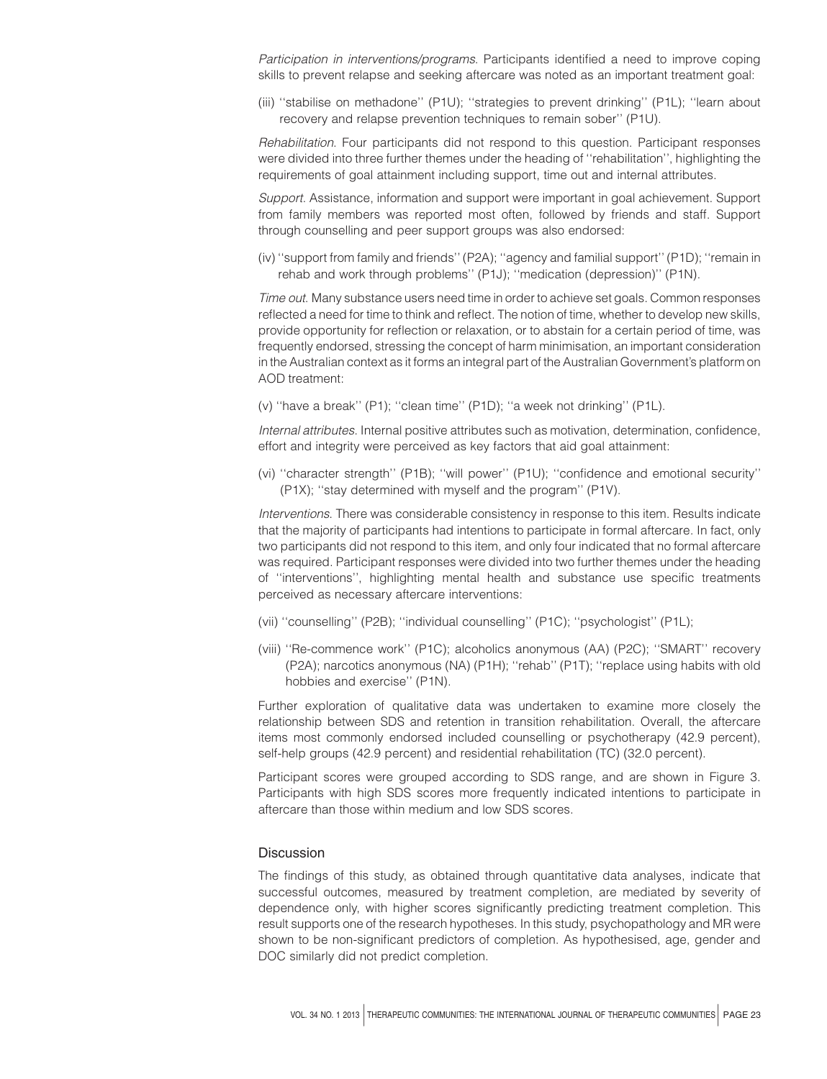Participation in interventions/programs. Participants identified a need to improve coping skills to prevent relapse and seeking aftercare was noted as an important treatment goal:

(iii) ''stabilise on methadone'' (P1U); ''strategies to prevent drinking'' (P1L); ''learn about recovery and relapse prevention techniques to remain sober'' (P1U).

Rehabilitation. Four participants did not respond to this question. Participant responses were divided into three further themes under the heading of ''rehabilitation'', highlighting the requirements of goal attainment including support, time out and internal attributes.

Support. Assistance, information and support were important in goal achievement. Support from family members was reported most often, followed by friends and staff. Support through counselling and peer support groups was also endorsed:

(iv) ''support from family and friends'' (P2A); ''agency and familial support'' (P1D); ''remain in rehab and work through problems'' (P1J); ''medication (depression)'' (P1N).

Time out. Many substance users need time in order to achieve set goals. Common responses reflected a need for time to think and reflect. The notion of time, whether to develop new skills, provide opportunity for reflection or relaxation, or to abstain for a certain period of time, was frequently endorsed, stressing the concept of harm minimisation, an important consideration in the Australian context as it forms an integral part of the Australian Government's platform on AOD treatment:

(v) ''have a break'' (P1); ''clean time'' (P1D); ''a week not drinking'' (P1L).

Internal attributes. Internal positive attributes such as motivation, determination, confidence, effort and integrity were perceived as key factors that aid goal attainment:

(vi) ''character strength'' (P1B); ''will power'' (P1U); ''confidence and emotional security'' (P1X); ''stay determined with myself and the program'' (P1V).

Interventions. There was considerable consistency in response to this item. Results indicate that the majority of participants had intentions to participate in formal aftercare. In fact, only two participants did not respond to this item, and only four indicated that no formal aftercare was required. Participant responses were divided into two further themes under the heading of ''interventions'', highlighting mental health and substance use specific treatments perceived as necessary aftercare interventions:

- (vii) ''counselling'' (P2B); ''individual counselling'' (P1C); ''psychologist'' (P1L);
- (viii) ''Re-commence work'' (P1C); alcoholics anonymous (AA) (P2C); ''SMART'' recovery (P2A); narcotics anonymous (NA) (P1H); ''rehab'' (P1T); ''replace using habits with old hobbies and exercise'' (P1N).

Further exploration of qualitative data was undertaken to examine more closely the relationship between SDS and retention in transition rehabilitation. Overall, the aftercare items most commonly endorsed included counselling or psychotherapy (42.9 percent), self-help groups (42.9 percent) and residential rehabilitation (TC) (32.0 percent).

Participant scores were grouped according to SDS range, and are shown in Figure 3. Participants with high SDS scores more frequently indicated intentions to participate in aftercare than those within medium and low SDS scores.

# **Discussion**

The findings of this study, as obtained through quantitative data analyses, indicate that successful outcomes, measured by treatment completion, are mediated by severity of dependence only, with higher scores significantly predicting treatment completion. This result supports one of the research hypotheses. In this study, psychopathology and MR were shown to be non-significant predictors of completion. As hypothesised, age, gender and DOC similarly did not predict completion.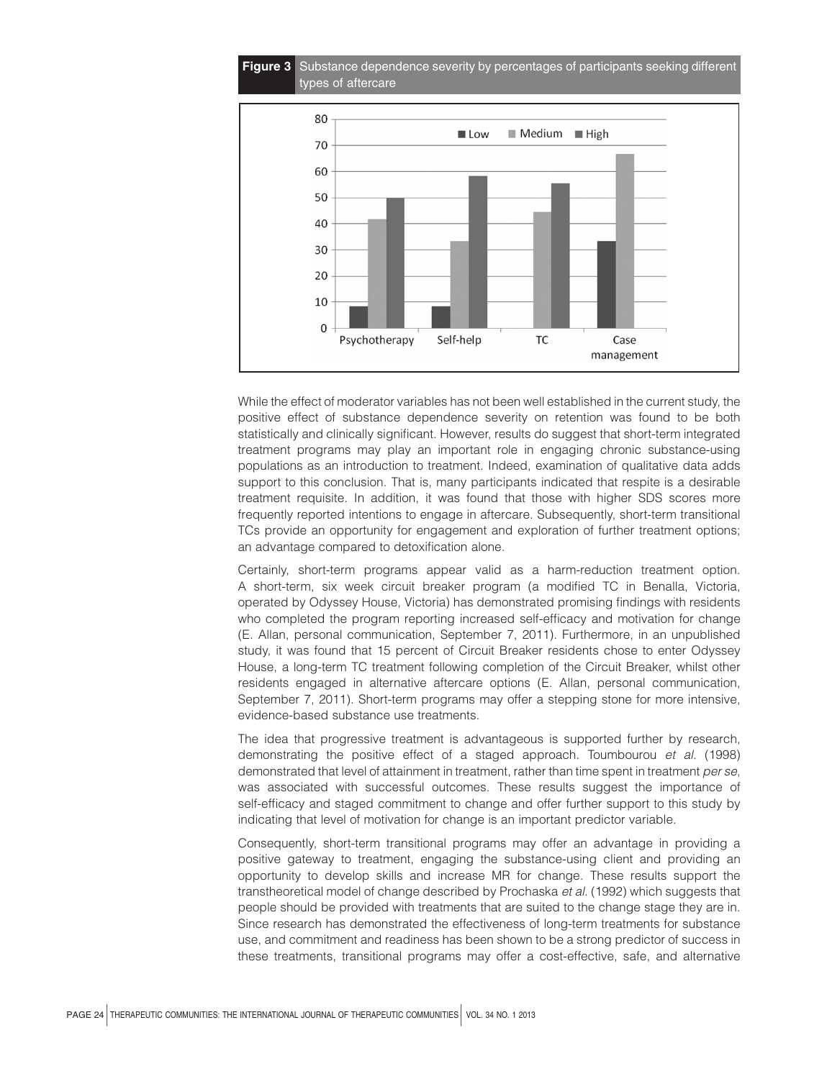

While the effect of moderator variables has not been well established in the current study, the positive effect of substance dependence severity on retention was found to be both statistically and clinically significant. However, results do suggest that short-term integrated treatment programs may play an important role in engaging chronic substance-using populations as an introduction to treatment. Indeed, examination of qualitative data adds support to this conclusion. That is, many participants indicated that respite is a desirable treatment requisite. In addition, it was found that those with higher SDS scores more frequently reported intentions to engage in aftercare. Subsequently, short-term transitional TCs provide an opportunity for engagement and exploration of further treatment options; an advantage compared to detoxification alone.

Certainly, short-term programs appear valid as a harm-reduction treatment option. A short-term, six week circuit breaker program (a modified TC in Benalla, Victoria, operated by Odyssey House, Victoria) has demonstrated promising findings with residents who completed the program reporting increased self-efficacy and motivation for change (E. Allan, personal communication, September 7, 2011). Furthermore, in an unpublished study, it was found that 15 percent of Circuit Breaker residents chose to enter Odyssey House, a long-term TC treatment following completion of the Circuit Breaker, whilst other residents engaged in alternative aftercare options (E. Allan, personal communication, September 7, 2011). Short-term programs may offer a stepping stone for more intensive, evidence-based substance use treatments.

The idea that progressive treatment is advantageous is supported further by research, demonstrating the positive effect of a staged approach. Toumbourou et al. (1998) demonstrated that level of attainment in treatment, rather than time spent in treatment per se, was associated with successful outcomes. These results suggest the importance of self-efficacy and staged commitment to change and offer further support to this study by indicating that level of motivation for change is an important predictor variable.

Consequently, short-term transitional programs may offer an advantage in providing a positive gateway to treatment, engaging the substance-using client and providing an opportunity to develop skills and increase MR for change. These results support the transtheoretical model of change described by Prochaska et al. (1992) which suggests that people should be provided with treatments that are suited to the change stage they are in. Since research has demonstrated the effectiveness of long-term treatments for substance use, and commitment and readiness has been shown to be a strong predictor of success in these treatments, transitional programs may offer a cost-effective, safe, and alternative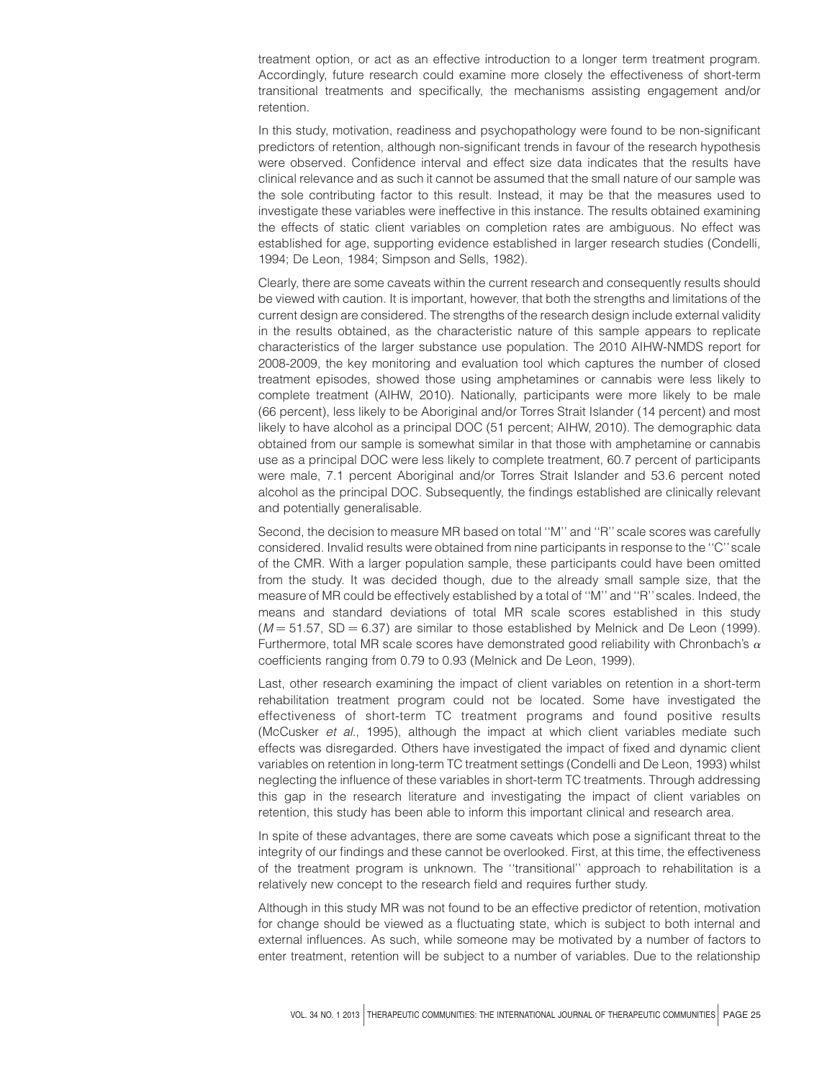treatment option, or act as an effective introduction to a longer term treatment program. Accordingly, future research could examine more closely the effectiveness of short-term transitional treatments and specifically, the mechanisms assisting engagement and/or retention.

In this study, motivation, readiness and psychopathology were found to be non-significant predictors of retention, although non-significant trends in favour of the research hypothesis were observed. Confidence interval and effect size data indicates that the results have clinical relevance and as such it cannot be assumed that the small nature of our sample was the sole contributing factor to this result. Instead, it may be that the measures used to investigate these variables were ineffective in this instance. The results obtained examining the effects of static client variables on completion rates are ambiguous. No effect was established for age, supporting evidence established in larger research studies (Condelli, 1994; De Leon, 1984; Simpson and Sells, 1982).

Clearly, there are some caveats within the current research and consequently results should be viewed with caution. It is important, however, that both the strengths and limitations of the current design are considered. The strengths of the research design include external validity in the results obtained, as the characteristic nature of this sample appears to replicate characteristics of the larger substance use population. The 2010 AIHW-NMDS report for 2008-2009, the key monitoring and evaluation tool which captures the number of closed treatment episodes, showed those using amphetamines or cannabis were less likely to complete treatment (AIHW, 2010). Nationally, participants were more likely to be male (66 percent), less likely to be Aboriginal and/or Torres Strait Islander (14 percent) and most likely to have alcohol as a principal DOC (51 percent; AIHW, 2010). The demographic data obtained from our sample is somewhat similar in that those with amphetamine or cannabis use as a principal DOC were less likely to complete treatment, 60.7 percent of participants were male, 7.1 percent Aboriginal and/or Torres Strait Islander and 53.6 percent noted alcohol as the principal DOC. Subsequently, the findings established are clinically relevant and potentially generalisable.

Second, the decision to measure MR based on total ''M'' and ''R'' scale scores was carefully considered. Invalid results were obtained from nine participants in response to the ''C'' scale of the CMR. With a larger population sample, these participants could have been omitted from the study. It was decided though, due to the already small sample size, that the measure of MR could be effectively established by a total of ''M'' and ''R'' scales. Indeed, the means and standard deviations of total MR scale scores established in this study  $(M = 51.57, SD = 6.37)$  are similar to those established by Melnick and De Leon (1999). Furthermore, total MR scale scores have demonstrated good reliability with Chronbach's  $\alpha$ coefficients ranging from 0.79 to 0.93 (Melnick and De Leon, 1999).

Last, other research examining the impact of client variables on retention in a short-term rehabilitation treatment program could not be located. Some have investigated the effectiveness of short-term TC treatment programs and found positive results (McCusker et al., 1995), although the impact at which client variables mediate such effects was disregarded. Others have investigated the impact of fixed and dynamic client variables on retention in long-term TC treatment settings (Condelli and De Leon, 1993) whilst neglecting the influence of these variables in short-term TC treatments. Through addressing this gap in the research literature and investigating the impact of client variables on retention, this study has been able to inform this important clinical and research area.

In spite of these advantages, there are some caveats which pose a significant threat to the integrity of our findings and these cannot be overlooked. First, at this time, the effectiveness of the treatment program is unknown. The ''transitional'' approach to rehabilitation is a relatively new concept to the research field and requires further study.

Although in this study MR was not found to be an effective predictor of retention, motivation for change should be viewed as a fluctuating state, which is subject to both internal and external influences. As such, while someone may be motivated by a number of factors to enter treatment, retention will be subject to a number of variables. Due to the relationship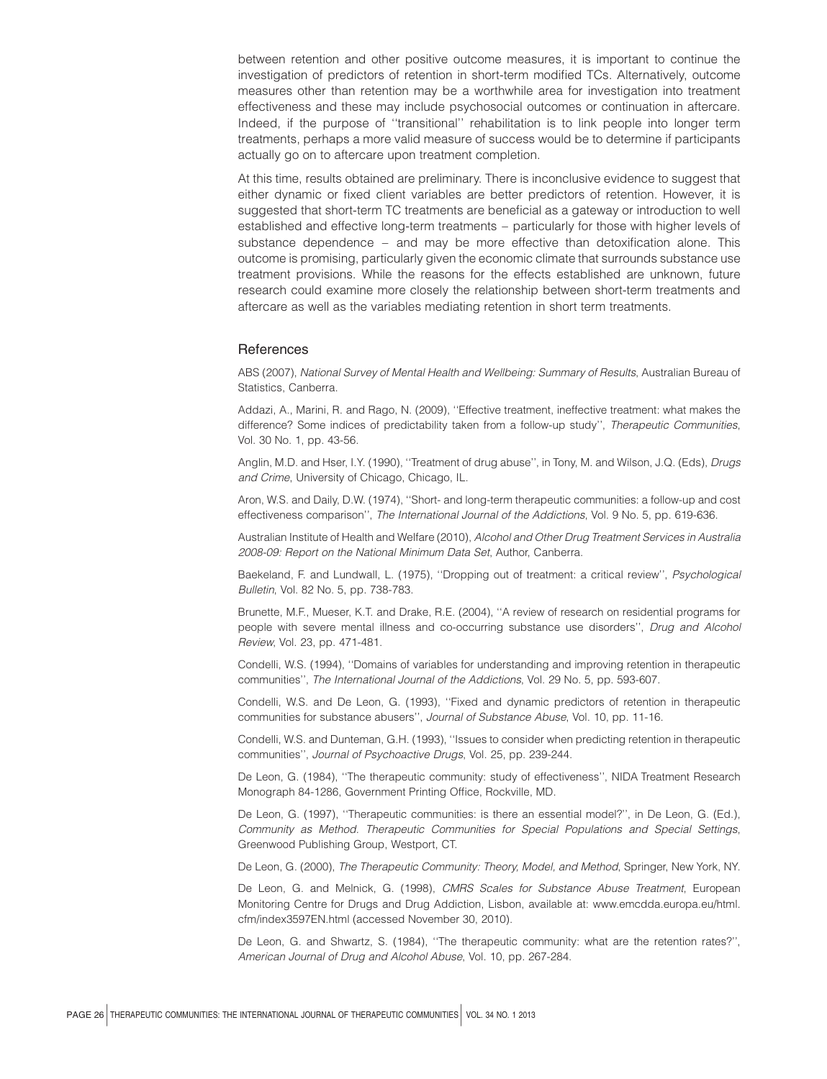between retention and other positive outcome measures, it is important to continue the investigation of predictors of retention in short-term modified TCs. Alternatively, outcome measures other than retention may be a worthwhile area for investigation into treatment effectiveness and these may include psychosocial outcomes or continuation in aftercare. Indeed, if the purpose of ''transitional'' rehabilitation is to link people into longer term treatments, perhaps a more valid measure of success would be to determine if participants actually go on to aftercare upon treatment completion.

At this time, results obtained are preliminary. There is inconclusive evidence to suggest that either dynamic or fixed client variables are better predictors of retention. However, it is suggested that short-term TC treatments are beneficial as a gateway or introduction to well established and effective long-term treatments – particularly for those with higher levels of substance dependence – and may be more effective than detoxification alone. This outcome is promising, particularly given the economic climate that surrounds substance use treatment provisions. While the reasons for the effects established are unknown, future research could examine more closely the relationship between short-term treatments and aftercare as well as the variables mediating retention in short term treatments.

#### References

ABS (2007), National Survey of Mental Health and Wellbeing: Summary of Results, Australian Bureau of Statistics, Canberra.

Addazi, A., Marini, R. and Rago, N. (2009), ''Effective treatment, ineffective treatment: what makes the difference? Some indices of predictability taken from a follow-up study", Therapeutic Communities, Vol. 30 No. 1, pp. 43-56.

Anglin, M.D. and Hser, I.Y. (1990), ''Treatment of drug abuse'', in Tony, M. and Wilson, J.Q. (Eds), Drugs and Crime, University of Chicago, Chicago, IL.

Aron, W.S. and Daily, D.W. (1974), ''Short- and long-term therapeutic communities: a follow-up and cost effectiveness comparison'', The International Journal of the Addictions, Vol. 9 No. 5, pp. 619-636.

Australian Institute of Health and Welfare (2010), Alcohol and Other Drug Treatment Services in Australia 2008-09: Report on the National Minimum Data Set, Author, Canberra.

Baekeland, F. and Lundwall, L. (1975), ''Dropping out of treatment: a critical review'', Psychological Bulletin, Vol. 82 No. 5, pp. 738-783.

Brunette, M.F., Mueser, K.T. and Drake, R.E. (2004), ''A review of research on residential programs for people with severe mental illness and co-occurring substance use disorders'', Drug and Alcohol Review, Vol. 23, pp. 471-481.

Condelli, W.S. (1994), ''Domains of variables for understanding and improving retention in therapeutic communities'', The International Journal of the Addictions, Vol. 29 No. 5, pp. 593-607.

Condelli, W.S. and De Leon, G. (1993), ''Fixed and dynamic predictors of retention in therapeutic communities for substance abusers'', Journal of Substance Abuse, Vol. 10, pp. 11-16.

Condelli, W.S. and Dunteman, G.H. (1993), ''Issues to consider when predicting retention in therapeutic communities'', Journal of Psychoactive Drugs, Vol. 25, pp. 239-244.

De Leon, G. (1984), ''The therapeutic community: study of effectiveness'', NIDA Treatment Research Monograph 84-1286, Government Printing Office, Rockville, MD.

De Leon, G. (1997), ''Therapeutic communities: is there an essential model?'', in De Leon, G. (Ed.), Community as Method. Therapeutic Communities for Special Populations and Special Settings, Greenwood Publishing Group, Westport, CT.

De Leon, G. (2000), The Therapeutic Community: Theory, Model, and Method, Springer, New York, NY.

De Leon, G. and Melnick, G. (1998), CMRS Scales for Substance Abuse Treatment, European Monitoring Centre for Drugs and Drug Addiction, Lisbon, available at: www.emcdda.europa.eu/html. cfm/index3597EN.html (accessed November 30, 2010).

De Leon, G. and Shwartz, S. (1984), ''The therapeutic community: what are the retention rates?'', American Journal of Drug and Alcohol Abuse, Vol. 10, pp. 267-284.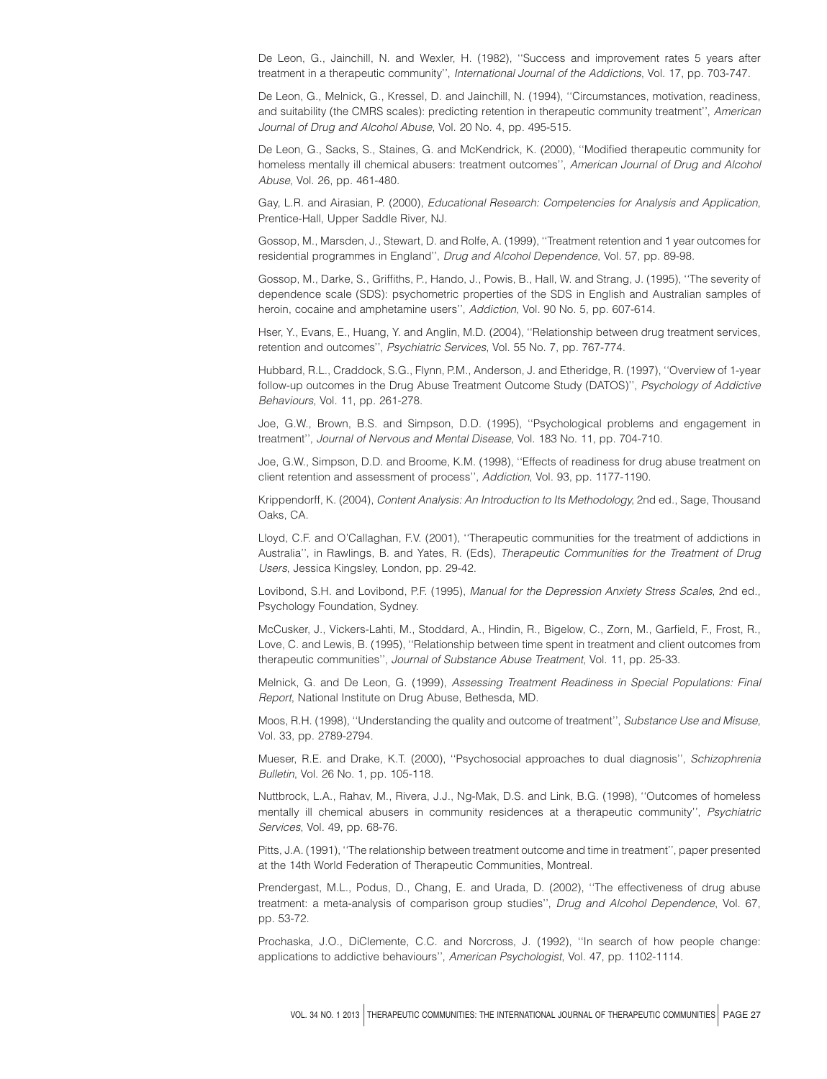De Leon, G., Jainchill, N. and Wexler, H. (1982), ''Success and improvement rates 5 years after treatment in a therapeutic community'', International Journal of the Addictions, Vol. 17, pp. 703-747.

De Leon, G., Melnick, G., Kressel, D. and Jainchill, N. (1994), ''Circumstances, motivation, readiness, and suitability (the CMRS scales): predicting retention in therapeutic community treatment'', American Journal of Drug and Alcohol Abuse, Vol. 20 No. 4, pp. 495-515.

De Leon, G., Sacks, S., Staines, G. and McKendrick, K. (2000), ''Modified therapeutic community for homeless mentally ill chemical abusers: treatment outcomes", American Journal of Drug and Alcohol Abuse, Vol. 26, pp. 461-480.

Gay, L.R. and Airasian, P. (2000), Educational Research: Competencies for Analysis and Application, Prentice-Hall, Upper Saddle River, NJ.

Gossop, M., Marsden, J., Stewart, D. and Rolfe, A. (1999), ''Treatment retention and 1 year outcomes for residential programmes in England'', Drug and Alcohol Dependence, Vol. 57, pp. 89-98.

Gossop, M., Darke, S., Griffiths, P., Hando, J., Powis, B., Hall, W. and Strang, J. (1995), ''The severity of dependence scale (SDS): psychometric properties of the SDS in English and Australian samples of heroin, cocaine and amphetamine users", Addiction, Vol. 90 No. 5, pp. 607-614.

Hser, Y., Evans, E., Huang, Y. and Anglin, M.D. (2004), ''Relationship between drug treatment services, retention and outcomes'', Psychiatric Services, Vol. 55 No. 7, pp. 767-774.

Hubbard, R.L., Craddock, S.G., Flynn, P.M., Anderson, J. and Etheridge, R. (1997), ''Overview of 1-year follow-up outcomes in the Drug Abuse Treatment Outcome Study (DATOS)", Psychology of Addictive Behaviours, Vol. 11, pp. 261-278.

Joe, G.W., Brown, B.S. and Simpson, D.D. (1995), ''Psychological problems and engagement in treatment'', Journal of Nervous and Mental Disease, Vol. 183 No. 11, pp. 704-710.

Joe, G.W., Simpson, D.D. and Broome, K.M. (1998), ''Effects of readiness for drug abuse treatment on client retention and assessment of process'', Addiction, Vol. 93, pp. 1177-1190.

Krippendorff, K. (2004), Content Analysis: An Introduction to Its Methodology, 2nd ed., Sage, Thousand Oaks, CA.

Lloyd, C.F. and O'Callaghan, F.V. (2001), ''Therapeutic communities for the treatment of addictions in Australia'', in Rawlings, B. and Yates, R. (Eds), Therapeutic Communities for the Treatment of Drug Users, Jessica Kingsley, London, pp. 29-42.

Lovibond, S.H. and Lovibond, P.F. (1995), Manual for the Depression Anxiety Stress Scales, 2nd ed., Psychology Foundation, Sydney.

McCusker, J., Vickers-Lahti, M., Stoddard, A., Hindin, R., Bigelow, C., Zorn, M., Garfield, F., Frost, R., Love, C. and Lewis, B. (1995), ''Relationship between time spent in treatment and client outcomes from therapeutic communities'', Journal of Substance Abuse Treatment, Vol. 11, pp. 25-33.

Melnick, G. and De Leon, G. (1999), Assessing Treatment Readiness in Special Populations: Final Report, National Institute on Drug Abuse, Bethesda, MD.

Moos, R.H. (1998), ''Understanding the quality and outcome of treatment'', Substance Use and Misuse, Vol. 33, pp. 2789-2794.

Mueser, R.E. and Drake, K.T. (2000), ''Psychosocial approaches to dual diagnosis'', Schizophrenia Bulletin, Vol. 26 No. 1, pp. 105-118.

Nuttbrock, L.A., Rahav, M., Rivera, J.J., Ng-Mak, D.S. and Link, B.G. (1998), ''Outcomes of homeless mentally ill chemical abusers in community residences at a therapeutic community'', Psychiatric Services, Vol. 49, pp. 68-76.

Pitts, J.A. (1991), ''The relationship between treatment outcome and time in treatment'', paper presented at the 14th World Federation of Therapeutic Communities, Montreal.

Prendergast, M.L., Podus, D., Chang, E. and Urada, D. (2002), ''The effectiveness of drug abuse treatment: a meta-analysis of comparison group studies'', Drug and Alcohol Dependence, Vol. 67, pp. 53-72.

Prochaska, J.O., DiClemente, C.C. and Norcross, J. (1992), ''In search of how people change: applications to addictive behaviours'', American Psychologist, Vol. 47, pp. 1102-1114.